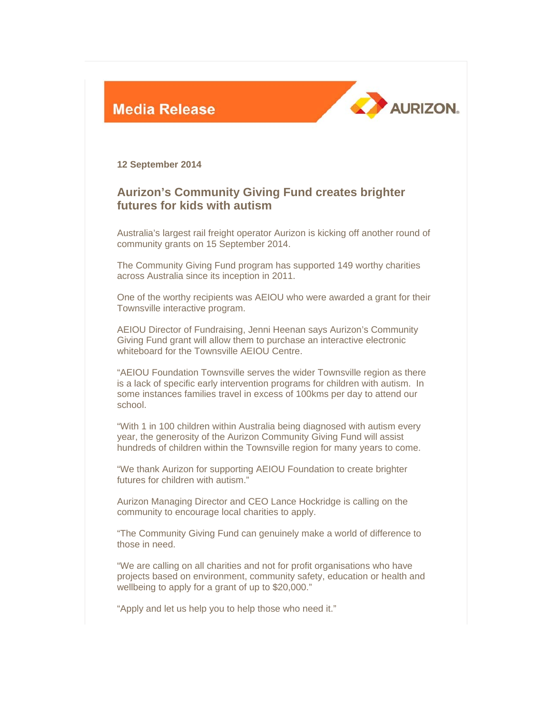



**12 September 2014** 

## **Aurizon's Community Giving Fund creates brighter futures for kids with autism**

Australia's largest rail freight operator Aurizon is kicking off another round of community grants on 15 September 2014.

The Community Giving Fund program has supported 149 worthy charities across Australia since its inception in 2011.

One of the worthy recipients was AEIOU who were awarded a grant for their Townsville interactive program.

AEIOU Director of Fundraising, Jenni Heenan says Aurizon's Community Giving Fund grant will allow them to purchase an interactive electronic whiteboard for the Townsville AEIOU Centre.

"AEIOU Foundation Townsville serves the wider Townsville region as there is a lack of specific early intervention programs for children with autism. In some instances families travel in excess of 100kms per day to attend our school.

"With 1 in 100 children within Australia being diagnosed with autism every year, the generosity of the Aurizon Community Giving Fund will assist hundreds of children within the Townsville region for many years to come.

"We thank Aurizon for supporting AEIOU Foundation to create brighter futures for children with autism."

Aurizon Managing Director and CEO Lance Hockridge is calling on the community to encourage local charities to apply.

"The Community Giving Fund can genuinely make a world of difference to those in need.

"We are calling on all charities and not for profit organisations who have projects based on environment, community safety, education or health and wellbeing to apply for a grant of up to \$20,000."

"Apply and let us help you to help those who need it."